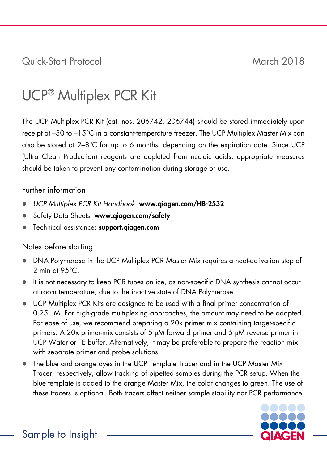Quick-Start Protocol March 2018

## UCP® Multiplex PCR Kit

The UCP Multiplex PCR Kit (cat. nos. 206742, 206744) should be stored immediately upon receipt at –30 to –15°C in a constant-temperature freezer. The UCP Multiplex Master Mix can also be stored at  $2-8^{\circ}$ C for up to 6 months, depending on the expiration date. Since UCP (Ultra Clean Production) reagents are depleted from nucleic acids, appropriate measures should be taken to prevent any contamination during storage or use.

## Further information

- *UCP Multiplex PCR Kit Handbook*: www.qiagen.com/HB-2532
- Safety Data Sheets: www.qiagen.com/safety
- **•** Technical assistance: support.giagen.com

## Notes before starting

- DNA Polymerase in the UCP Multiplex PCR Master Mix requires a heat-activation step of 2 min at 95°C.
- It is not necessary to keep PCR tubes on ice, as non-specific DNA synthesis cannot occur at room temperature, due to the inactive state of DNA Polymerase.
- UCP Multiplex PCR Kits are designed to be used with a final primer concentration of 0.25 μM. For high-grade multiplexing approaches, the amount may need to be adapted. For ease of use, we recommend preparing a 20x primer mix containing target-specific primers. A 20x primer-mix consists of 5 μM forward primer and 5 μM reverse primer in UCP Water or TE buffer. Alternatively, it may be preferable to prepare the reaction mix with separate primer and probe solutions.
- The blue and orange dyes in the UCP Template Tracer and in the UCP Master Mix Tracer, respectively, allow tracking of pipetted samples during the PCR setup. When the blue template is added to the orange Master Mix, the color changes to green. The use of these tracers is optional. Both tracers affect neither sample stability nor PCR performance.

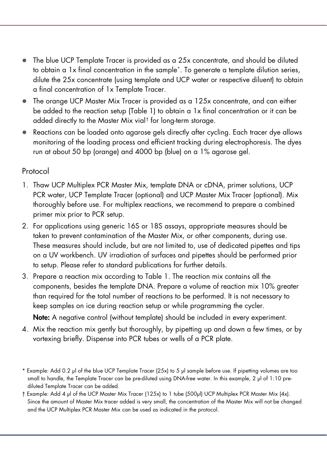- The blue UCP Template Tracer is provided as a 25x concentrate, and should be diluted to obtain a 1x final concentration in the sample[\\*](#page-1-0). To generate a template dilution series, dilute the 25x concentrate (using template and UCP water or respective diluent) to obtain a final concentration of 1x Template Tracer.
- The orange UCP Master Mix Tracer is provided as a 125x concentrate, and can either be added to the reaction setup [\(Table 1\)](#page-2-0) to obtain a 1x final concentration or it can be added directly to the Master Mix vial[†](#page-1-1) for long-term storage.
- Reactions can be loaded onto agarose gels directly after cycling. Each tracer dye allows monitoring of the loading process and efficient tracking during electrophoresis. The dyes run at about 50 bp (orange) and 4000 bp (blue) on a 1% agarose gel.

## Protocol

- 1. Thaw UCP Multiplex PCR Master Mix, template DNA or cDNA, primer solutions, UCP PCR water, UCP Template Tracer (optional) and UCP Master Mix Tracer (optional). Mix thoroughly before use. For multiplex reactions, we recommend to prepare a combined primer mix prior to PCR setup.
- 2. For applications using generic 16S or 18S assays, appropriate measures should be taken to prevent contamination of the Master Mix, or other components, during use. These measures should include, but are not limited to, use of dedicated pipettes and tips on a UV workbench. UV irradiation of surfaces and pipettes should be performed prior to setup. Please refer to standard publications for further details.
- 3. Prepare a reaction mix according to [Table 1.](#page-2-0) The reaction mix contains all the components, besides the template DNA. Prepare a volume of reaction mix 10% greater than required for the total number of reactions to be performed. It is not necessary to keep samples on ice during reaction setup or while programming the cycler.

Note: A negative control (without template) should be included in every experiment.

4. Mix the reaction mix gently but thoroughly, by pipetting up and down a few times, or by vortexing briefly. Dispense into PCR tubes or wells of a PCR plate.

<span id="page-1-1"></span>† Example: Add 4 μl of the UCP Master Mix Tracer (125x) to 1 tube (500μl) UCP Multiplex PCR Master Mix (4x). Since the amount of Master Mix tracer added is very small, the concentration of the Master Mix will not be changed and the UCP Multiplex PCR Master Mix can be used as indicated in the protocol.

<span id="page-1-0"></span><sup>\*</sup> Example: Add 0.2 μl of the blue UCP Template Tracer (25x) to 5 μl sample before use. If pipetting volumes are too small to handle, the Template Tracer can be pre-diluted using DNA-free water. In this example, 2 μl of 1:10 prediluted Template Tracer can be added.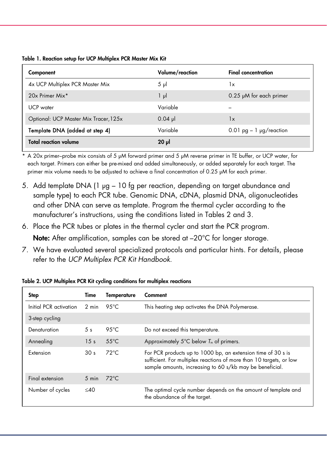| Component                             | Volume/reaction | <b>Final concentration</b>   |
|---------------------------------------|-----------------|------------------------------|
| 4x UCP Multiplex PCR Master Mix       | $5 \mu$         | 1x                           |
| 20x Primer Mix*                       | 1 µl            | $0.25 \mu M$ for each primer |
| <b>UCP</b> water                      | Variable        |                              |
| Optional: UCP Master Mix Tracer, 125x | $0.04$ pl       | $\mathsf{I}\mathsf{x}$       |
| Template DNA (added at step 4)        | Variable        | $0.01$ pg $-1$ µg/reaction   |
| <b>Total reaction volume</b>          | $20 \mu$        |                              |

<span id="page-2-0"></span>Table 1. Reaction setup for UCP Multiplex PCR Master Mix Kit

\* A 20x primer–probe mix consists of 5 μM forward primer and 5 μM reverse primer in TE buffer, or UCP water, for each target. Primers can either be pre-mixed and added simultaneously, or added separately for each target. The primer mix volume needs to be adjusted to achieve a final concentration of 0.25 μM for each primer.

- 5. Add template DNA (1 μg 10 fg per reaction, depending on target abundance and sample type) to each PCR tube. Genomic DNA, cDNA, plasmid DNA, oligonucleotides and other DNA can serve as template. Program the thermal cycler according to the manufacturer's instructions, using the conditions listed in Tables 2 and [3.](#page-3-0)
- 6. Place the PCR tubes or plates in the thermal cycler and start the PCR program. Note: After amplification, samples can be stored at  $-20^{\circ}$ C for longer storage.
- 7. We have evaluated several specialized protocols and particular hints. For details, please refer to the *UCP Multiplex PCR Kit Handbook*.

| <b>Step</b>            | Time            | Temperature     | Comment                                                                                                                                                                                         |
|------------------------|-----------------|-----------------|-------------------------------------------------------------------------------------------------------------------------------------------------------------------------------------------------|
| Initial PCR activation | 2 min           | 95°C            | This heating step activates the DNA Polymerase.                                                                                                                                                 |
| 3-step cycling         |                 |                 |                                                                                                                                                                                                 |
| Denaturation           | 5 <sub>s</sub>  | 95 $°C$         | Do not exceed this temperature.                                                                                                                                                                 |
| Annealing              | 15 <sub>s</sub> | $.55^{\circ}$ C | Approximately 5 $\degree$ C below $T_m$ of primers.                                                                                                                                             |
| Extension              | 30 <sub>s</sub> | $72^{\circ}$ C  | For PCR products up to 1000 bp, an extension time of 30 s is<br>sufficient. For multiplex reactions of more than 10 targets, or low<br>sample amounts, increasing to 60 s/kb may be beneficial. |
| Final extension        | $5 \text{ min}$ | $72^{\circ}$ C  |                                                                                                                                                                                                 |
| Number of cycles       | $<$ 40          |                 | The optimal cycle number depends on the amount of template and<br>the abundance of the target.                                                                                                  |

Table 2. UCP Multiplex PCR Kit cycling conditions for multiplex reactions